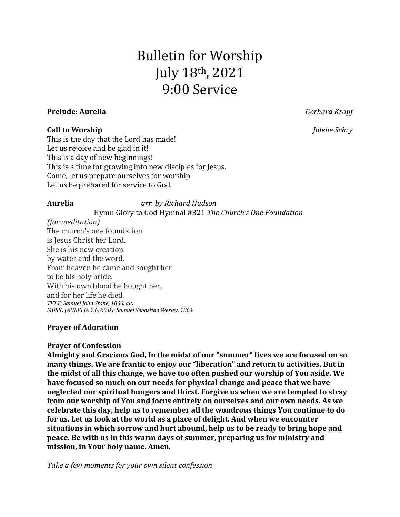# Bulletin for Worship July 18th, 2021 9:00 Service

#### **Prelude: Aurelia** *Gerhard Krapf*

#### **Call to Worship** *Jolene Schry*

This is the day that the Lord has made! Let us rejoice and be glad in it! This is a day of new beginnings! This is a time for growing into new disciples for Jesus. Come, let us prepare ourselves for worship Let us be prepared for service to God.

**Aurelia** *arr. by Richard Hudson*

Hymn Glory to God Hymnal #321 *The Church's One Foundation (for meditation)* The church's one foundation is Jesus Christ her Lord. She is his new creation by water and the word. From heaven he came and sought her to be his holy bride. With his own blood he bought her, and for her life he died. *TEXT: Samuel John Stone, 1866, alt. MUSIC (AURELIA 7.6.7.6.D): Samuel Sebastian Wesley, 1864*

## **Prayer of Adoration**

### **Prayer of Confession**

**Almighty and Gracious God, In the midst of our "summer" lives we are focused on so many things. We are frantic to enjoy our "liberation" and return to activities. But in the midst of all this change, we have too often pushed our worship of You aside. We have focused so much on our needs for physical change and peace that we have neglected our spiritual hungers and thirst. Forgive us when we are tempted to stray from our worship of You and focus entirely on ourselves and our own needs. As we celebrate this day, help us to remember all the wondrous things You continue to do for us. Let us look at the world as a place of delight. And when we encounter situations in which sorrow and hurt abound, help us to be ready to bring hope and peace. Be with us in this warm days of summer, preparing us for ministry and mission, in Your holy name. Amen.**

*Take a few moments for your own silent confession*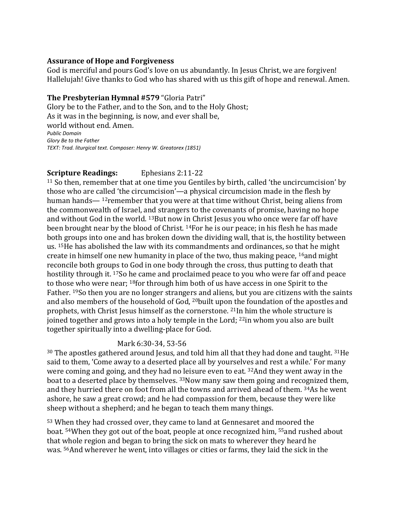#### **Assurance of Hope and Forgiveness**

God is merciful and pours God's love on us abundantly. In Jesus Christ, we are forgiven! Hallelujah! Give thanks to God who has shared with us this gift of hope and renewal. Amen.

#### **The Presbyterian Hymnal #579**"Gloria Patri"

Glory be to the Father, and to the Son, and to the Holy Ghost; As it was in the beginning, is now, and ever shall be,   world without end. Amen.   *Public Domain Glory Be to the Father TEXT: Trad. liturgical text. Composer: Henry W. Greatorex (1851)*  

### **Scripture Readings:** Ephesians 2:11-22

<sup>11</sup> So then, remember that at one time you Gentiles by birth, called 'the uncircumcision' by those who are called 'the circumcision'—a physical circumcision made in the flesh by human hands— <sup>12</sup>remember that you were at that time without Christ, being aliens from the commonwealth of Israel, and strangers to the covenants of promise, having no hope and without God in the world. <sup>13</sup>But now in Christ Jesus you who once were far off have been brought near by the blood of Christ. <sup>14</sup>For he is our peace; in his flesh he has made both groups into one and has broken down the dividing wall, that is, the hostility between us. <sup>15</sup>He has abolished the law with its commandments and ordinances, so that he might create in himself one new humanity in place of the two, thus making peace, <sup>16</sup>and might reconcile both groups to God in one body through the cross, thus putting to death that hostility through it. <sup>17</sup>So he came and proclaimed peace to you who were far off and peace to those who were near; <sup>18</sup>for through him both of us have access in one Spirit to the Father. <sup>19</sup>So then you are no longer strangers and aliens, but you are citizens with the saints and also members of the household of God, <sup>20</sup>built upon the foundation of the apostles and prophets, with Christ Jesus himself as the cornerstone. <sup>21</sup>In him the whole structure is joined together and grows into a holy temple in the Lord; <sup>22</sup>in whom you also are built together spiritually into a dwelling-place for God.

### Mark 6:30-34, 53-56

<sup>30</sup> The apostles gathered around Jesus, and told him all that they had done and taught. <sup>31</sup>He said to them, 'Come away to a deserted place all by yourselves and rest a while.' For many were coming and going, and they had no leisure even to eat. <sup>32</sup>And they went away in the boat to a deserted place by themselves. <sup>33</sup>Now many saw them going and recognized them, and they hurried there on foot from all the towns and arrived ahead of them. <sup>34</sup>As he went ashore, he saw a great crowd; and he had compassion for them, because they were like sheep without a shepherd; and he began to teach them many things.

<sup>53</sup> When they had crossed over, they came to land at Gennesaret and moored the boat. <sup>54</sup>When they got out of the boat, people at once recognized him, <sup>55</sup>and rushed about that whole region and began to bring the sick on mats to wherever they heard he was. <sup>56</sup>And wherever he went, into villages or cities or farms, they laid the sick in the